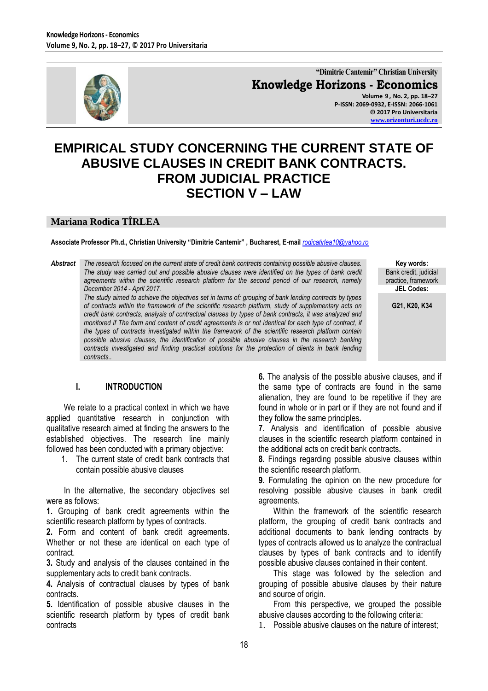

**"Dimitrie Cantemir" Christian University Knowledge Horizons - Economics Volume 9 , No. 2, pp. 18–27 P-ISSN: 2069-0932, E-ISSN: 2066-1061 © 2017 Pro Universitaria [www.orizonturi.ucdc.ro](http://www.orizonturi.ucdc.ro/)**

# **EMPIRICAL STUDY CONCERNING THE CURRENT STATE OF ABUSIVE CLAUSES IN CREDIT BANK CONTRACTS. FROM JUDICIAL PRACTICE SECTION V – LAW**

#### **Mariana Rodica TÎRLEA**

**Associate Professor Ph.d., Christian University "Dimitrie Cantemir" , Bucharest, E-mail** *[rodicatirlea10@yahoo.ro](mailto:rodicatirlea10@yahoo.ro)*

*Abstract The research focused on the current state of credit bank contracts containing possible abusive clauses. The study was carried out and possible abusive clauses were identified on the types of bank credit agreements within the scientific research platform for the second period of our research, namely December 2014 - April 2017.* 

*The study aimed to achieve the objectives set in terms of: grouping of bank lending contracts by types of contracts within the framework of the scientific research platform, study of supplementary acts on credit bank contracts, analysis of contractual clauses by types of bank contracts, it was analyzed and monitored if The form and content of credit agreements is or not identical for each type of contract, if the types of contracts investigated within the framework of the scientific research platform contain possible abusive clauses, the identification of possible abusive clauses in the research banking contracts investigated and finding practical solutions for the protection of clients in bank lending contracts..*

**Key words:** Bank credit, judicial practice, framework **JEL Codes:**

**G21, K20, K34**

#### **I. INTRODUCTION**

We relate to a practical context in which we have applied quantitative research in conjunction with qualitative research aimed at finding the answers to the established objectives. The research line mainly followed has been conducted with a primary objective:

1. The current state of credit bank contracts that contain possible abusive clauses

In the alternative, the secondary objectives set were as follows:

**1.** Grouping of bank credit agreements within the scientific research platform by types of contracts.

**2.** Form and content of bank credit agreements. Whether or not these are identical on each type of contract.

**3.** Study and analysis of the clauses contained in the supplementary acts to credit bank contracts.

**4.** Analysis of contractual clauses by types of bank contracts.

**5.** Identification of possible abusive clauses in the scientific research platform by types of credit bank contracts

**6.** The analysis of the possible abusive clauses, and if the same type of contracts are found in the same alienation, they are found to be repetitive if they are found in whole or in part or if they are not found and if they follow the same principles**.**

**7.** Analysis and identification of possible abusive clauses in the scientific research platform contained in the additional acts on credit bank contracts**.**

**8.** Findings regarding possible abusive clauses within the scientific research platform.

**9.** Formulating the opinion on the new procedure for resolving possible abusive clauses in bank credit agreements.

Within the framework of the scientific research platform, the grouping of credit bank contracts and additional documents to bank lending contracts by types of contracts allowed us to analyze the contractual clauses by types of bank contracts and to identify possible abusive clauses contained in their content.

This stage was followed by the selection and grouping of possible abusive clauses by their nature and source of origin.

From this perspective, we grouped the possible abusive clauses according to the following criteria:

1. Possible abusive clauses on the nature of interest;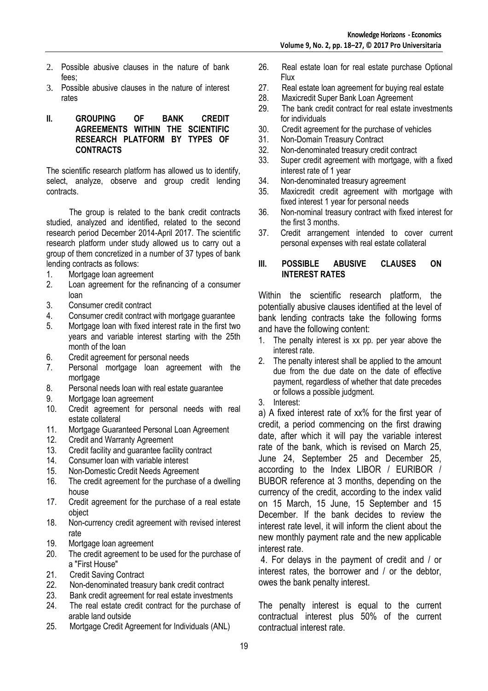- 2. Possible abusive clauses in the nature of bank fees;
- 3. Possible abusive clauses in the nature of interest rates

#### **II. GROUPING OF BANK CREDIT AGREEMENTS WITHIN THE SCIENTIFIC RESEARCH PLATFORM BY TYPES OF CONTRACTS**

The scientific research platform has allowed us to identify, select, analyze, observe and group credit lending contracts.

 The group is related to the bank credit contracts studied, analyzed and identified, related to the second research period December 2014-April 2017. The scientific research platform under study allowed us to carry out a group of them concretized in a number of 37 types of bank lending contracts as follows:

- 1. Mortgage loan agreement
- 2. Loan agreement for the refinancing of a consumer loan
- 3. Consumer credit contract
- 4. Consumer credit contract with mortgage guarantee
- 5. Mortgage loan with fixed interest rate in the first two years and variable interest starting with the 25th month of the loan
- 6. Credit agreement for personal needs
- 7. Personal mortgage loan agreement with the mortgage
- 8. Personal needs loan with real estate guarantee
- 9. Mortgage loan agreement
- 10. Credit agreement for personal needs with real estate collateral
- 11. Mortgage Guaranteed Personal Loan Agreement
- 12. Credit and Warranty Agreement
- 13. Credit facility and guarantee facility contract
- 14. Consumer loan with variable interest
- 15. Non-Domestic Credit Needs Agreement
- 16. The credit agreement for the purchase of a dwelling house
- 17. Credit agreement for the purchase of a real estate object
- 18. Non-currency credit agreement with revised interest rate
- 19. Mortgage loan agreement
- 20. The credit agreement to be used for the purchase of a "First House"
- 21. Credit Saving Contract
- 22. Non-denominated treasury bank credit contract
- 23. Bank credit agreement for real estate investments
- 24. The real estate credit contract for the purchase of arable land outside
- 25. Mortgage Credit Agreement for Individuals (ANL)
- 26. Real estate loan for real estate purchase Optional Flux
- 27. Real estate loan agreement for buying real estate
- 28. Maxicredit Super Bank Loan Agreement
- 29. The bank credit contract for real estate investments for individuals
- 30. Credit agreement for the purchase of vehicles
- 31. Non-Domain Treasury Contract
- 32. Non-denominated treasury credit contract
- 33. Super credit agreement with mortgage, with a fixed interest rate of 1 year
- 34. Non-denominated treasury agreement
- 35. Maxicredit credit agreement with mortgage with fixed interest 1 year for personal needs
- 36. Non-nominal treasury contract with fixed interest for the first 3 months.
- 37. Credit arrangement intended to cover current personal expenses with real estate collateral

## **III. POSSIBLE ABUSIVE CLAUSES ON INTEREST RATES**

Within the scientific research platform, the potentially abusive clauses identified at the level of bank lending contracts take the following forms and have the following content:

- 1. The penalty interest is xx pp. per year above the interest rate.
- 2. The penalty interest shall be applied to the amount due from the due date on the date of effective payment, regardless of whether that date precedes or follows a possible judgment.
- 3. Interest:

a) A fixed interest rate of xx% for the first year of credit, a period commencing on the first drawing date, after which it will pay the variable interest rate of the bank, which is revised on March 25, June 24, September 25 and December 25, according to the Index LIBOR / EURIBOR / BUBOR reference at 3 months, depending on the currency of the credit, according to the index valid on 15 March, 15 June, 15 September and 15 December. If the bank decides to review the interest rate level, it will inform the client about the new monthly payment rate and the new applicable interest rate.

4. For delays in the payment of credit and / or interest rates, the borrower and / or the debtor, owes the bank penalty interest.

The penalty interest is equal to the current contractual interest plus 50% of the current contractual interest rate.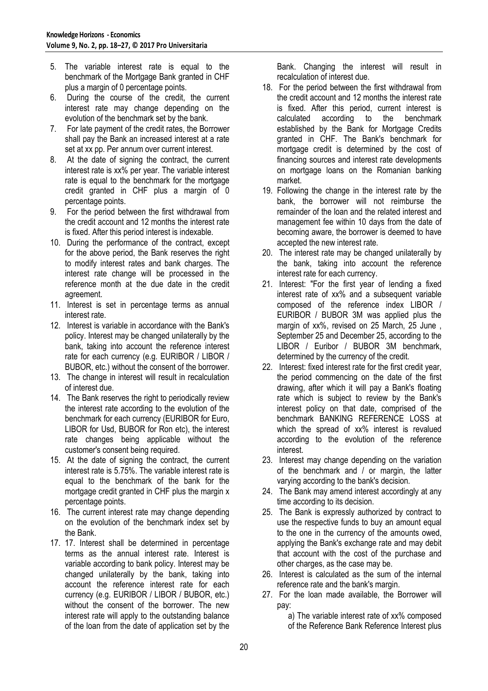- 5. The variable interest rate is equal to the benchmark of the Mortgage Bank granted in CHF plus a margin of 0 percentage points.
- 6. During the course of the credit, the current interest rate may change depending on the evolution of the benchmark set by the bank.
- 7. For late payment of the credit rates, the Borrower shall pay the Bank an increased interest at a rate set at xx pp. Per annum over current interest.
- 8. At the date of signing the contract, the current interest rate is xx% per year. The variable interest rate is equal to the benchmark for the mortgage credit granted in CHF plus a margin of 0 percentage points.
- 9. For the period between the first withdrawal from the credit account and 12 months the interest rate is fixed. After this period interest is indexable.
- 10. During the performance of the contract, except for the above period, the Bank reserves the right to modify interest rates and bank charges. The interest rate change will be processed in the reference month at the due date in the credit agreement.
- 11. Interest is set in percentage terms as annual interest rate.
- 12. Interest is variable in accordance with the Bank's policy. Interest may be changed unilaterally by the bank, taking into account the reference interest rate for each currency (e.g. EURIBOR / LIBOR / BUBOR, etc.) without the consent of the borrower.
- 13. The change in interest will result in recalculation of interest due.
- 14. The Bank reserves the right to periodically review the interest rate according to the evolution of the benchmark for each currency (EURIBOR for Euro, LIBOR for Usd, BUBOR for Ron etc), the interest rate changes being applicable without the customer's consent being required.
- 15. At the date of signing the contract, the current interest rate is 5.75%. The variable interest rate is equal to the benchmark of the bank for the mortgage credit granted in CHF plus the margin x percentage points.
- 16. The current interest rate may change depending on the evolution of the benchmark index set by the Bank.
- 17. 17. Interest shall be determined in percentage terms as the annual interest rate. Interest is variable according to bank policy. Interest may be changed unilaterally by the bank, taking into account the reference interest rate for each currency (e.g. EURIBOR / LIBOR / BUBOR, etc.) without the consent of the borrower. The new interest rate will apply to the outstanding balance of the loan from the date of application set by the

Bank. Changing the interest will result in recalculation of interest due.

- 18. For the period between the first withdrawal from the credit account and 12 months the interest rate is fixed. After this period, current interest is calculated according to the benchmark established by the Bank for Mortgage Credits granted in CHF. The Bank's benchmark for mortgage credit is determined by the cost of financing sources and interest rate developments on mortgage loans on the Romanian banking market.
- 19. Following the change in the interest rate by the bank, the borrower will not reimburse the remainder of the loan and the related interest and management fee within 10 days from the date of becoming aware, the borrower is deemed to have accepted the new interest rate.
- 20. The interest rate may be changed unilaterally by the bank, taking into account the reference interest rate for each currency.
- 21. Interest: "For the first year of lending a fixed interest rate of xx% and a subsequent variable composed of the reference index LIBOR / EURIBOR / BUBOR 3M was applied plus the margin of xx%, revised on 25 March, 25 June , September 25 and December 25, according to the LIBOR / Euribor / BUBOR 3M benchmark, determined by the currency of the credit.
- 22. Interest: fixed interest rate for the first credit year, the period commencing on the date of the first drawing, after which it will pay a Bank's floating rate which is subject to review by the Bank's interest policy on that date, comprised of the benchmark BANKING REFERENCE LOSS at which the spread of xx% interest is revalued according to the evolution of the reference interest.
- 23. Interest may change depending on the variation of the benchmark and / or margin, the latter varying according to the bank's decision.
- 24. The Bank may amend interest accordingly at any time according to its decision.
- 25. The Bank is expressly authorized by contract to use the respective funds to buy an amount equal to the one in the currency of the amounts owed, applying the Bank's exchange rate and may debit that account with the cost of the purchase and other charges, as the case may be.
- 26. Interest is calculated as the sum of the internal reference rate and the bank's margin.
- 27. For the loan made available, the Borrower will pay:
	- a) The variable interest rate of xx% composed of the Reference Bank Reference Interest plus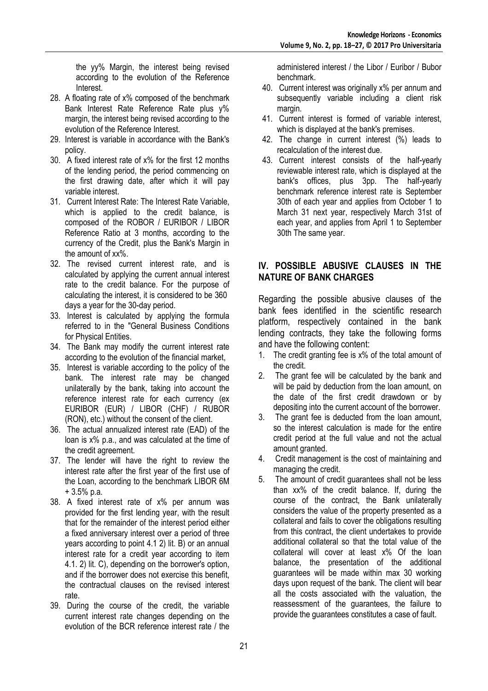the yy% Margin, the interest being revised according to the evolution of the Reference Interest.

- 28. A floating rate of x% composed of the benchmark Bank Interest Rate Reference Rate plus y% margin, the interest being revised according to the evolution of the Reference Interest.
- 29. Interest is variable in accordance with the Bank's policy.
- 30. A fixed interest rate of x% for the first 12 months of the lending period, the period commencing on the first drawing date, after which it will pay variable interest.
- 31. Current Interest Rate: The Interest Rate Variable, which is applied to the credit balance, is composed of the ROBOR / EURIBOR / LIBOR Reference Ratio at 3 months, according to the currency of the Credit, plus the Bank's Margin in the amount of xx%.
- 32. The revised current interest rate, and is calculated by applying the current annual interest rate to the credit balance. For the purpose of calculating the interest, it is considered to be 360 days a year for the 30-day period.
- 33. Interest is calculated by applying the formula referred to in the "General Business Conditions for Physical Entities.
- 34. The Bank may modify the current interest rate according to the evolution of the financial market,
- 35. Interest is variable according to the policy of the bank. The interest rate may be changed unilaterally by the bank, taking into account the reference interest rate for each currency (ex EURIBOR (EUR) / LIBOR (CHF) / RUBOR (RON), etc.) without the consent of the client.
- 36. The actual annualized interest rate (EAD) of the loan is x% p.a., and was calculated at the time of the credit agreement.
- 37. The lender will have the right to review the interest rate after the first year of the first use of the Loan, according to the benchmark LIBOR 6M + 3.5% p.a.
- 38. A fixed interest rate of x% per annum was provided for the first lending year, with the result that for the remainder of the interest period either a fixed anniversary interest over a period of three years according to point 4.1 2) lit. B) or an annual interest rate for a credit year according to item 4.1. 2) lit. C), depending on the borrower's option, and if the borrower does not exercise this benefit, the contractual clauses on the revised interest rate.
- 39. During the course of the credit, the variable current interest rate changes depending on the evolution of the BCR reference interest rate / the

administered interest / the Libor / Euribor / Bubor benchmark.

- 40. Current interest was originally x% per annum and subsequently variable including a client risk margin.
- 41. Current interest is formed of variable interest, which is displayed at the bank's premises.
- 42. The change in current interest (%) leads to recalculation of the interest due.
- 43. Current interest consists of the half-yearly reviewable interest rate, which is displayed at the bank's offices, plus 3pp. The half-yearly benchmark reference interest rate is September 30th of each year and applies from October 1 to March 31 next year, respectively March 31st of each year, and applies from April 1 to September 30th The same year.

# **IV. POSSIBLE ABUSIVE CLAUSES IN THE NATURE OF BANK CHARGES**

Regarding the possible abusive clauses of the bank fees identified in the scientific research platform, respectively contained in the bank lending contracts, they take the following forms and have the following content:

- 1. The credit granting fee is  $x\%$  of the total amount of the credit.
- 2. The grant fee will be calculated by the bank and will be paid by deduction from the loan amount, on the date of the first credit drawdown or by depositing into the current account of the borrower.
- 3. The grant fee is deducted from the loan amount, so the interest calculation is made for the entire credit period at the full value and not the actual amount granted.
- 4. Credit management is the cost of maintaining and managing the credit.
- 5. The amount of credit guarantees shall not be less than xx% of the credit balance. If, during the course of the contract, the Bank unilaterally considers the value of the property presented as a collateral and fails to cover the obligations resulting from this contract, the client undertakes to provide additional collateral so that the total value of the collateral will cover at least x% Of the loan balance, the presentation of the additional guarantees will be made within max 30 working days upon request of the bank. The client will bear all the costs associated with the valuation, the reassessment of the guarantees, the failure to provide the guarantees constitutes a case of fault.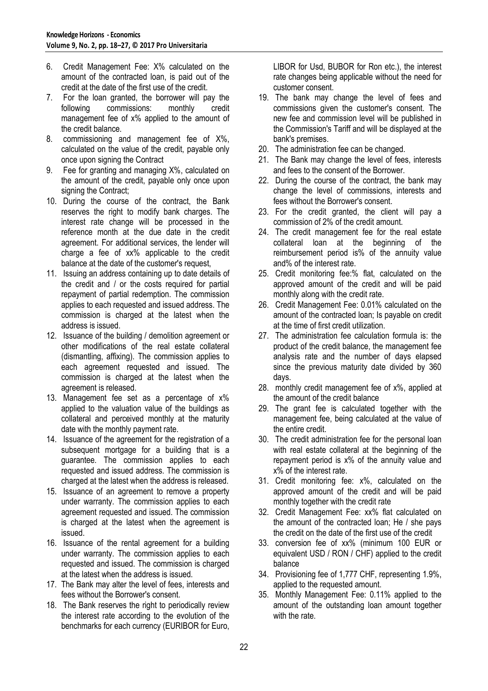- 6. Credit Management Fee: X% calculated on the amount of the contracted loan, is paid out of the credit at the date of the first use of the credit.
- 7. For the loan granted, the borrower will pay the following commissions: monthly credit management fee of x% applied to the amount of the credit balance.
- 8. commissioning and management fee of X%, calculated on the value of the credit, payable only once upon signing the Contract
- 9. Fee for granting and managing X%, calculated on the amount of the credit, payable only once upon signing the Contract;
- 10. During the course of the contract, the Bank reserves the right to modify bank charges. The interest rate change will be processed in the reference month at the due date in the credit agreement. For additional services, the lender will charge a fee of xx% applicable to the credit balance at the date of the customer's request,
- 11. Issuing an address containing up to date details of the credit and / or the costs required for partial repayment of partial redemption. The commission applies to each requested and issued address. The commission is charged at the latest when the address is issued.
- 12. Issuance of the building / demolition agreement or other modifications of the real estate collateral (dismantling, affixing). The commission applies to each agreement requested and issued. The commission is charged at the latest when the agreement is released.
- 13. Management fee set as a percentage of x% applied to the valuation value of the buildings as collateral and perceived monthly at the maturity date with the monthly payment rate.
- 14. Issuance of the agreement for the registration of a subsequent mortgage for a building that is a guarantee. The commission applies to each requested and issued address. The commission is charged at the latest when the address is released.
- 15. Issuance of an agreement to remove a property under warranty. The commission applies to each agreement requested and issued. The commission is charged at the latest when the agreement is issued.
- 16. Issuance of the rental agreement for a building under warranty. The commission applies to each requested and issued. The commission is charged at the latest when the address is issued.
- 17. The Bank may alter the level of fees, interests and fees without the Borrower's consent.
- 18. The Bank reserves the right to periodically review the interest rate according to the evolution of the benchmarks for each currency (EURIBOR for Euro,

LIBOR for Usd, BUBOR for Ron etc.), the interest rate changes being applicable without the need for customer consent.

- 19. The bank may change the level of fees and commissions given the customer's consent. The new fee and commission level will be published in the Commission's Tariff and will be displayed at the bank's premises.
- 20. The administration fee can be changed.
- 21. The Bank may change the level of fees, interests and fees to the consent of the Borrower.
- 22. During the course of the contract, the bank may change the level of commissions, interests and fees without the Borrower's consent.
- 23. For the credit granted, the client will pay a commission of 2% of the credit amount.
- 24. The credit management fee for the real estate collateral loan at the beginning of the reimbursement period is% of the annuity value and% of the interest rate.
- 25. Credit monitoring fee:% flat, calculated on the approved amount of the credit and will be paid monthly along with the credit rate.
- 26. Credit Management Fee: 0.01% calculated on the amount of the contracted loan; Is payable on credit at the time of first credit utilization.
- 27. The administration fee calculation formula is: the product of the credit balance, the management fee analysis rate and the number of days elapsed since the previous maturity date divided by 360 days.
- 28. monthly credit management fee of x%, applied at the amount of the credit balance
- 29. The grant fee is calculated together with the management fee, being calculated at the value of the entire credit.
- 30. The credit administration fee for the personal loan with real estate collateral at the beginning of the repayment period is x% of the annuity value and x% of the interest rate.
- 31. Credit monitoring fee: x%, calculated on the approved amount of the credit and will be paid monthly together with the credit rate
- 32. Credit Management Fee: xx% flat calculated on the amount of the contracted loan; He / she pays the credit on the date of the first use of the credit
- 33. conversion fee of xx% (minimum 100 EUR or equivalent USD / RON / CHF) applied to the credit balance
- 34. Provisioning fee of 1,777 CHF, representing 1.9%, applied to the requested amount.
- 35. Monthly Management Fee: 0.11% applied to the amount of the outstanding loan amount together with the rate.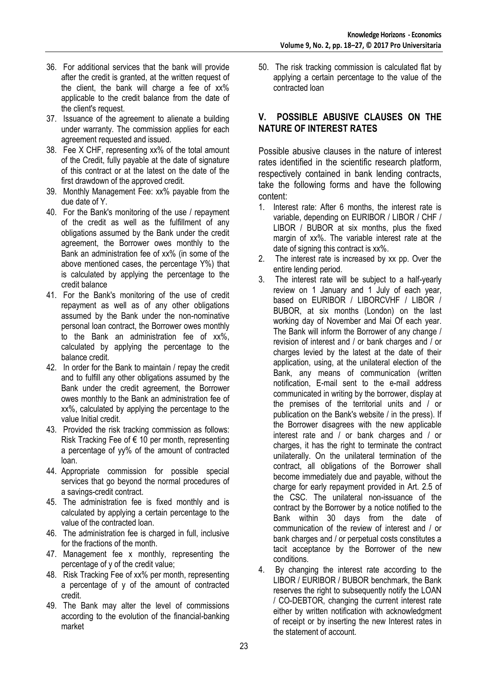- 36. For additional services that the bank will provide after the credit is granted, at the written request of the client, the bank will charge a fee of xx% applicable to the credit balance from the date of the client's request.
- 37. Issuance of the agreement to alienate a building under warranty. The commission applies for each agreement requested and issued.
- 38. Fee X CHF, representing xx% of the total amount of the Credit, fully payable at the date of signature of this contract or at the latest on the date of the first drawdown of the approved credit.
- 39. Monthly Management Fee: xx% payable from the due date of Y.
- 40. For the Bank's monitoring of the use / repayment of the credit as well as the fulfillment of any obligations assumed by the Bank under the credit agreement, the Borrower owes monthly to the Bank an administration fee of xx% (in some of the above mentioned cases, the percentage Y%) that is calculated by applying the percentage to the credit balance
- 41. For the Bank's monitoring of the use of credit repayment as well as of any other obligations assumed by the Bank under the non-nominative personal loan contract, the Borrower owes monthly to the Bank an administration fee of xx%, calculated by applying the percentage to the balance credit.
- 42. In order for the Bank to maintain / repay the credit and to fulfill any other obligations assumed by the Bank under the credit agreement, the Borrower owes monthly to the Bank an administration fee of xx%, calculated by applying the percentage to the value Initial credit.
- 43. Provided the risk tracking commission as follows: Risk Tracking Fee of  $\epsilon$  10 per month, representing a percentage of yy% of the amount of contracted loan.
- 44. Appropriate commission for possible special services that go beyond the normal procedures of a savings-credit contract.
- 45. The administration fee is fixed monthly and is calculated by applying a certain percentage to the value of the contracted loan.
- 46. The administration fee is charged in full, inclusive for the fractions of the month.
- 47. Management fee x monthly, representing the percentage of y of the credit value;
- 48. Risk Tracking Fee of xx% per month, representing a percentage of y of the amount of contracted credit.
- 49. The Bank may alter the level of commissions according to the evolution of the financial-banking market

50. The risk tracking commission is calculated flat by applying a certain percentage to the value of the contracted loan

# **V. POSSIBLE ABUSIVE CLAUSES ON THE NATURE OF INTEREST RATES**

Possible abusive clauses in the nature of interest rates identified in the scientific research platform, respectively contained in bank lending contracts, take the following forms and have the following content:

- 1. Interest rate: After 6 months, the interest rate is variable, depending on EURIBOR / LIBOR / CHF / LIBOR / BUBOR at six months, plus the fixed margin of xx%. The variable interest rate at the date of signing this contract is xx%.
- 2. The interest rate is increased by xx pp. Over the entire lending period.
- 3. The interest rate will be subject to a half-yearly review on 1 January and 1 July of each year, based on EURIBOR / LIBORCVHF / LIBOR / BUBOR, at six months (London) on the last working day of November and Mai Of each year. The Bank will inform the Borrower of any change / revision of interest and / or bank charges and / or charges levied by the latest at the date of their application, using, at the unilateral election of the Bank, any means of communication (written notification, E-mail sent to the e-mail address communicated in writing by the borrower, display at the premises of the territorial units and / or publication on the Bank's website / in the press). If the Borrower disagrees with the new applicable interest rate and / or bank charges and / or charges, it has the right to terminate the contract unilaterally. On the unilateral termination of the contract, all obligations of the Borrower shall become immediately due and payable, without the charge for early repayment provided in Art. 2.5 of the CSC. The unilateral non-issuance of the contract by the Borrower by a notice notified to the Bank within 30 days from the date of communication of the review of interest and / or bank charges and / or perpetual costs constitutes a tacit acceptance by the Borrower of the new conditions.
- 4. By changing the interest rate according to the LIBOR / EURIBOR / BUBOR benchmark, the Bank reserves the right to subsequently notify the LOAN / CO-DEBTOR, changing the current interest rate either by written notification with acknowledgment of receipt or by inserting the new Interest rates in the statement of account.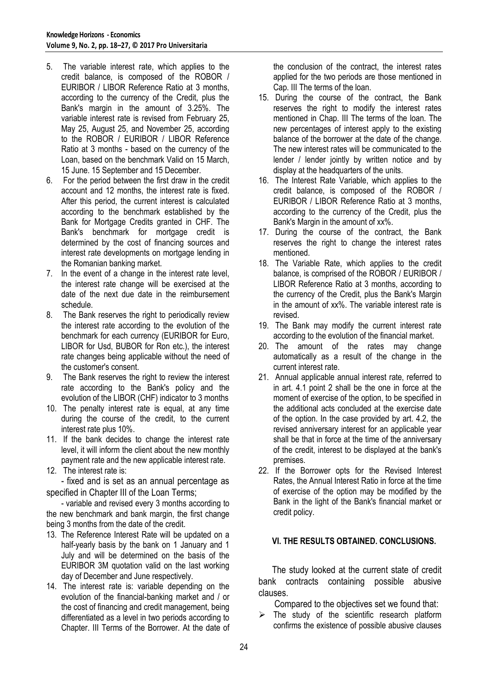- 5. The variable interest rate, which applies to the credit balance, is composed of the ROBOR / EURIBOR / LIBOR Reference Ratio at 3 months, according to the currency of the Credit, plus the Bank's margin in the amount of 3.25%. The variable interest rate is revised from February 25, May 25, August 25, and November 25, according to the ROBOR / EURIBOR / LIBOR Reference Ratio at 3 months - based on the currency of the Loan, based on the benchmark Valid on 15 March, 15 June. 15 September and 15 December.
- 6. For the period between the first draw in the credit account and 12 months, the interest rate is fixed. After this period, the current interest is calculated according to the benchmark established by the Bank for Mortgage Credits granted in CHF. The Bank's benchmark for mortgage credit is determined by the cost of financing sources and interest rate developments on mortgage lending in the Romanian banking market.
- 7. In the event of a change in the interest rate level, the interest rate change will be exercised at the date of the next due date in the reimbursement schedule.
- 8. The Bank reserves the right to periodically review the interest rate according to the evolution of the benchmark for each currency (EURIBOR for Euro, LIBOR for Usd, BUBOR for Ron etc.), the interest rate changes being applicable without the need of the customer's consent.
- 9. The Bank reserves the right to review the interest rate according to the Bank's policy and the evolution of the LIBOR (CHF) indicator to 3 months
- 10. The penalty interest rate is equal, at any time during the course of the credit, to the current interest rate plus 10%.
- 11. If the bank decides to change the interest rate level, it will inform the client about the new monthly payment rate and the new applicable interest rate.
- 12. The interest rate is:

- fixed and is set as an annual percentage as specified in Chapter III of the Loan Terms;

- variable and revised every 3 months according to the new benchmark and bank margin, the first change being 3 months from the date of the credit.

- 13. The Reference Interest Rate will be updated on a half-yearly basis by the bank on 1 January and 1 July and will be determined on the basis of the EURIBOR 3M quotation valid on the last working day of December and June respectively.
- 14. The interest rate is: variable depending on the evolution of the financial-banking market and / or the cost of financing and credit management, being differentiated as a level in two periods according to Chapter. III Terms of the Borrower. At the date of

the conclusion of the contract, the interest rates applied for the two periods are those mentioned in Cap. III The terms of the loan.

- 15. During the course of the contract, the Bank reserves the right to modify the interest rates mentioned in Chap. III The terms of the loan. The new percentages of interest apply to the existing balance of the borrower at the date of the change. The new interest rates will be communicated to the lender / lender jointly by written notice and by display at the headquarters of the units.
- 16. The Interest Rate Variable, which applies to the credit balance, is composed of the ROBOR / EURIBOR / LIBOR Reference Ratio at 3 months, according to the currency of the Credit, plus the Bank's Margin in the amount of xx%.
- 17. During the course of the contract, the Bank reserves the right to change the interest rates mentioned.
- 18. The Variable Rate, which applies to the credit balance, is comprised of the ROBOR / EURIBOR / LIBOR Reference Ratio at 3 months, according to the currency of the Credit, plus the Bank's Margin in the amount of xx%. The variable interest rate is revised.
- 19. The Bank may modify the current interest rate according to the evolution of the financial market.
- 20. The amount of the rates may change automatically as a result of the change in the current interest rate.
- 21. Annual applicable annual interest rate, referred to in art. 4.1 point 2 shall be the one in force at the moment of exercise of the option, to be specified in the additional acts concluded at the exercise date of the option. In the case provided by art. 4.2, the revised anniversary interest for an applicable year shall be that in force at the time of the anniversary of the credit, interest to be displayed at the bank's premises.
- 22. If the Borrower opts for the Revised Interest Rates, the Annual Interest Ratio in force at the time of exercise of the option may be modified by the Bank in the light of the Bank's financial market or credit policy.

# **VI. THE RESULTS OBTAINED. CONCLUSIONS.**

 The study looked at the current state of credit bank contracts containing possible abusive clauses.

Compared to the objectives set we found that:

 The study of the scientific research platform confirms the existence of possible abusive clauses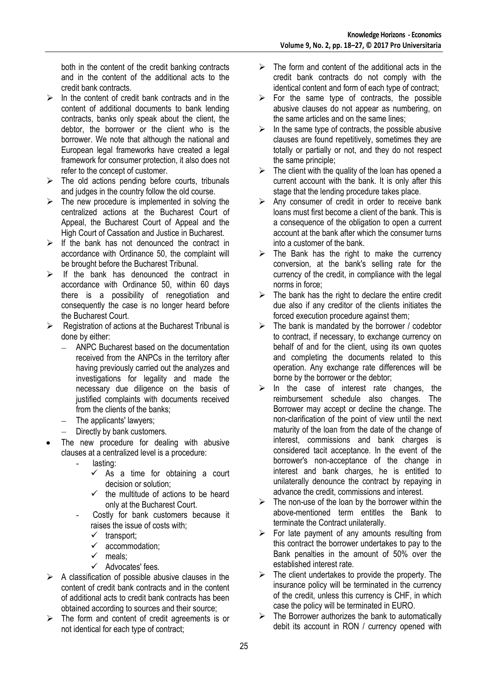both in the content of the credit banking contracts and in the content of the additional acts to the credit bank contracts.

- $\triangleright$  In the content of credit bank contracts and in the content of additional documents to bank lending contracts, banks only speak about the client, the debtor, the borrower or the client who is the borrower. We note that although the national and European legal frameworks have created a legal framework for consumer protection, it also does not refer to the concept of customer.
- $\triangleright$  The old actions pending before courts, tribunals and judges in the country follow the old course.
- $\triangleright$  The new procedure is implemented in solving the centralized actions at the Bucharest Court of Appeal, the Bucharest Court of Appeal and the High Court of Cassation and Justice in Bucharest.
- $\triangleright$  If the bank has not denounced the contract in accordance with Ordinance 50, the complaint will be brought before the Bucharest Tribunal.
- $\triangleright$  If the bank has denounced the contract in accordance with Ordinance 50, within 60 days there is a possibility of renegotiation and consequently the case is no longer heard before the Bucharest Court.
- $\triangleright$  Registration of actions at the Bucharest Tribunal is done by either:
	- ANPC Bucharest based on the documentation  $\equiv$ received from the ANPCs in the territory after having previously carried out the analyzes and investigations for legality and made the necessary due diligence on the basis of justified complaints with documents received from the clients of the banks;
	- The applicants' lawyers;  $\equiv$  .
	- Directly by bank customers.  $\overline{a}$
- The new procedure for dealing with abusive clauses at a centralized level is a procedure:
	- lasting:
		- $\checkmark$  As a time for obtaining a court decision or solution;
		- $\checkmark$  the multitude of actions to be heard only at the Bucharest Court.
	- Costly for bank customers because it raises the issue of costs with;
		- $\checkmark$  transport;
		- $\checkmark$  accommodation;
		- $\checkmark$  meals:
		- $\checkmark$  Advocates' fees.
- $\triangleright$  A classification of possible abusive clauses in the content of credit bank contracts and in the content of additional acts to credit bank contracts has been obtained according to sources and their source;
- $\triangleright$  The form and content of credit agreements is or not identical for each type of contract;
- $\triangleright$  The form and content of the additional acts in the credit bank contracts do not comply with the identical content and form of each type of contract;
- $\triangleright$  For the same type of contracts, the possible abusive clauses do not appear as numbering, on the same articles and on the same lines;
- $\triangleright$  In the same type of contracts, the possible abusive clauses are found repetitively, sometimes they are totally or partially or not, and they do not respect the same principle;
- $\triangleright$  The client with the quality of the loan has opened a current account with the bank. It is only after this stage that the lending procedure takes place.
- $\triangleright$  Any consumer of credit in order to receive bank loans must first become a client of the bank. This is a consequence of the obligation to open a current account at the bank after which the consumer turns into a customer of the bank.
- $\triangleright$  The Bank has the right to make the currency conversion, at the bank's selling rate for the currency of the credit, in compliance with the legal norms in force;
- $\triangleright$  The bank has the right to declare the entire credit due also if any creditor of the clients initiates the forced execution procedure against them;
- $\triangleright$  The bank is mandated by the borrower / codebtor to contract, if necessary, to exchange currency on behalf of and for the client, using its own quotes and completing the documents related to this operation. Any exchange rate differences will be borne by the borrower or the debtor;
- $\triangleright$  In the case of interest rate changes, the reimbursement schedule also changes. The Borrower may accept or decline the change. The non-clarification of the point of view until the next maturity of the loan from the date of the change of interest, commissions and bank charges is considered tacit acceptance. In the event of the borrower's non-acceptance of the change in interest and bank charges, he is entitled to unilaterally denounce the contract by repaying in advance the credit, commissions and interest.
- $\triangleright$  The non-use of the loan by the borrower within the above-mentioned term entitles the Bank to terminate the Contract unilaterally.
- $\triangleright$  For late payment of any amounts resulting from this contract the borrower undertakes to pay to the Bank penalties in the amount of 50% over the established interest rate.
- $\triangleright$  The client undertakes to provide the property. The insurance policy will be terminated in the currency of the credit, unless this currency is CHF, in which case the policy will be terminated in EURO.
- $\triangleright$  The Borrower authorizes the bank to automatically debit its account in RON / currency opened with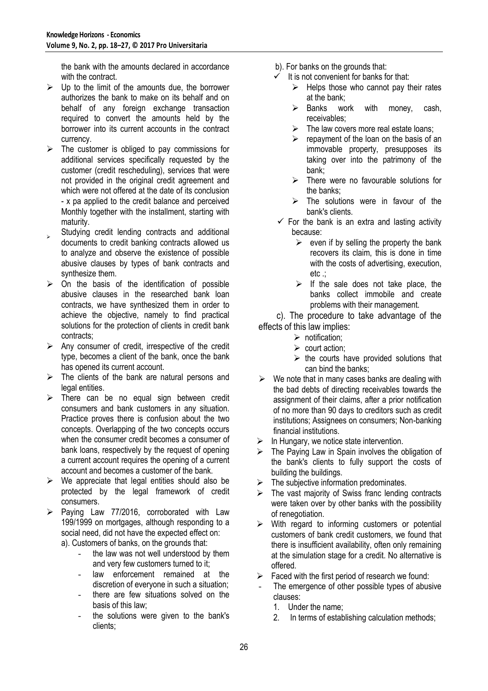the bank with the amounts declared in accordance with the contract.

- $\triangleright$  Up to the limit of the amounts due, the borrower authorizes the bank to make on its behalf and on behalf of any foreign exchange transaction required to convert the amounts held by the borrower into its current accounts in the contract currency.
- $\triangleright$  The customer is obliged to pay commissions for additional services specifically requested by the customer (credit rescheduling), services that were not provided in the original credit agreement and which were not offered at the date of its conclusion - x pa applied to the credit balance and perceived Monthly together with the installment, starting with maturity.
- $\mathbf{v}$ Studying credit lending contracts and additional documents to credit banking contracts allowed us to analyze and observe the existence of possible abusive clauses by types of bank contracts and synthesize them.
- $\triangleright$  On the basis of the identification of possible abusive clauses in the researched bank loan contracts, we have synthesized them in order to achieve the objective, namely to find practical solutions for the protection of clients in credit bank contracts;
- $\triangleright$  Any consumer of credit, irrespective of the credit type, becomes a client of the bank, once the bank has opened its current account.
- $\triangleright$  The clients of the bank are natural persons and legal entities.
- $\triangleright$  There can be no equal sign between credit consumers and bank customers in any situation. Practice proves there is confusion about the two concepts. Overlapping of the two concepts occurs when the consumer credit becomes a consumer of bank loans, respectively by the request of opening a current account requires the opening of a current account and becomes a customer of the bank.
- $\triangleright$  We appreciate that legal entities should also be protected by the legal framework of credit consumers.
- $\triangleright$  Paying Law 77/2016, corroborated with Law 199/1999 on mortgages, although responding to a social need, did not have the expected effect on: a). Customers of banks, on the grounds that:
	- the law was not well understood by them and very few customers turned to it;
	- law enforcement remained at the discretion of everyone in such a situation;
	- there are few situations solved on the basis of this law;
	- the solutions were given to the bank's clients;
- b). For banks on the grounds that:
- $\checkmark$  It is not convenient for banks for that:
	- $\triangleright$  Helps those who cannot pay their rates at the bank;
	- $\triangleright$  Banks work with money, cash, receivables;
	- $\triangleright$  The law covers more real estate loans;
	- $\triangleright$  repayment of the loan on the basis of an immovable property, presupposes its taking over into the patrimony of the bank;
	- $\triangleright$  There were no favourable solutions for the banks;
	- $\triangleright$  The solutions were in favour of the bank's clients.
- $\checkmark$  For the bank is an extra and lasting activity because:
	- $\triangleright$  even if by selling the property the bank recovers its claim, this is done in time with the costs of advertising, execution, etc .;
	- $\triangleright$  If the sale does not take place, the banks collect immobile and create problems with their management.

 c). The procedure to take advantage of the effects of this law implies:

- $\triangleright$  notification:
- $\triangleright$  court action:
- $\triangleright$  the courts have provided solutions that can bind the banks;
- We note that in many cases banks are dealing with the bad debts of directing receivables towards the assignment of their claims, after a prior notification of no more than 90 days to creditors such as credit institutions; Assignees on consumers; Non-banking financial institutions.
- In Hungary, we notice state intervention.
- The Paying Law in Spain involves the obligation of the bank's clients to fully support the costs of building the buildings.
- $\triangleright$  The subjective information predominates.
- $\triangleright$  The vast majority of Swiss franc lending contracts were taken over by other banks with the possibility of renegotiation.
- $\triangleright$  With regard to informing customers or potential customers of bank credit customers, we found that there is insufficient availability, often only remaining at the simulation stage for a credit. No alternative is offered.
- Faced with the first period of research we found:
- The emergence of other possible types of abusive clauses:
	- 1. Under the name;
	- 2. In terms of establishing calculation methods;